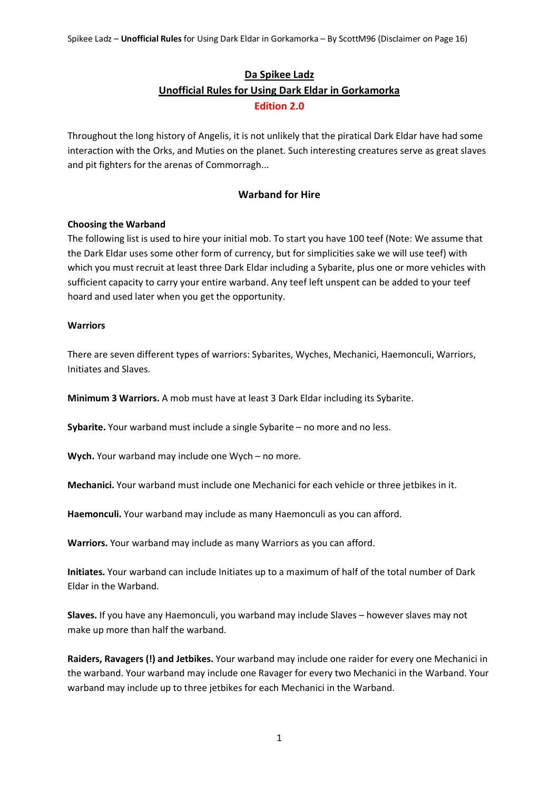# **Da Spikee Ladz Unofficial Rules for Using Dark Eldar in Gorkamorka Edition 2.0**

Throughout the long history of Angelis, it is not unlikely that the piratical Dark Eldar have had some interaction with the Orks, and Muties on the planet. Such interesting creatures serve as great slaves and pit fighters for the arenas of Commorragh...

# **Warband for Hire**

# **Choosing the Warband**

The following list is used to hire your initial mob. To start you have 100 teef (Note: We assume that the Dark Eldar uses some other form of currency, but for simplicities sake we will use teef) with which you must recruit at least three Dark Eldar including a Sybarite, plus one or more vehicles with sufficient capacity to carry your entire warband. Any teef left unspent can be added to your teef hoard and used later when you get the opportunity.

#### **Warriors**

There are seven different types of warriors: Sybarites, Wyches, Mechanici, Haemonculi, Warriors, Initiates and Slaves.

**Minimum 3 Warriors.** A mob must have at least 3 Dark Eldar including its Sybarite.

**Sybarite.** Your warband must include a single Sybarite – no more and no less.

**Wych.** Your warband may include one Wych – no more.

**Mechanici.** Your warband must include one Mechanici for each vehicle or three jetbikes in it.

**Haemonculi.** Your warband may include as many Haemonculi as you can afford.

**Warriors.** Your warband may include as many Warriors as you can afford.

**Initiates.** Your warband can include Initiates up to a maximum of half of the total number of Dark Eldar in the Warband.

**Slaves.** If you have any Haemonculi, you warband may include Slaves – however slaves may not make up more than half the warband.

**Raiders, Ravagers (!) and Jetbikes.** Your warband may include one raider for every one Mechanici in the warband. Your warband may include one Ravager for every two Mechanici in the Warband. Your warband may include up to three jetbikes for each Mechanici in the Warband.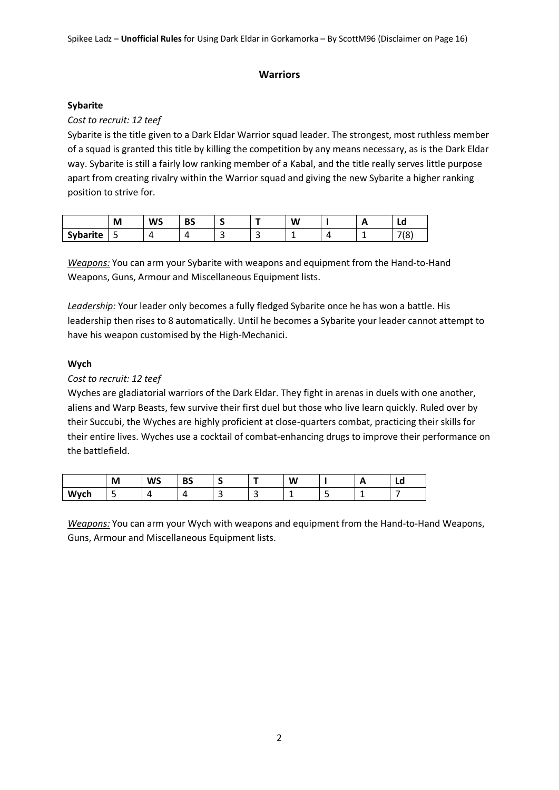# **Warriors**

# **Sybarite**

# *Cost to recruit: 12 teef*

Sybarite is the title given to a Dark Eldar Warrior squad leader. The strongest, most ruthless member of a squad is granted this title by killing the competition by any means necessary, as is the Dark Eldar way. Sybarite is still a fairly low ranking member of a Kabal, and the title really serves little purpose apart from creating rivalry within the Warrior squad and giving the new Sybarite a higher ranking position to strive for.

|                 | M      | <b>WS</b> | <b>DC</b><br>ັບ |   |                          | W | . . | Lu                    |
|-----------------|--------|-----------|-----------------|---|--------------------------|---|-----|-----------------------|
| <b>Sybarite</b> | -<br>ٮ |           |                 | ۔ | $\overline{\phantom{a}}$ |   |     | 710 <sub>1</sub><br>o |

*Weapons:* You can arm your Sybarite with weapons and equipment from the Hand-to-Hand Weapons, Guns, Armour and Miscellaneous Equipment lists.

*Leadership:* Your leader only becomes a fully fledged Sybarite once he has won a battle. His leadership then rises to 8 automatically. Until he becomes a Sybarite your leader cannot attempt to have his weapon customised by the High-Mechanici.

# **Wych**

# *Cost to recruit: 12 teef*

Wyches are gladiatorial warriors of the Dark Eldar. They fight in arenas in duels with one another, aliens and Warp Beasts, few survive their first duel but those who live learn quickly. Ruled over by their Succubi, the Wyches are highly proficient at close-quarters combat, practicing their skills for their entire lives. Wyches use a cocktail of combat-enhancing drugs to improve their performance on the battlefield.

|      | M                             | <b>WS</b> | <b>DC</b><br>כס | پ      | -      | W  | <b>11</b> | Lu |
|------|-------------------------------|-----------|-----------------|--------|--------|----|-----------|----|
| Wych | $\overline{\phantom{0}}$<br>ັ |           | . .             | ∽<br>ے | $\sim$ | -- |           | -  |

*Weapons:* You can arm your Wych with weapons and equipment from the Hand-to-Hand Weapons, Guns, Armour and Miscellaneous Equipment lists.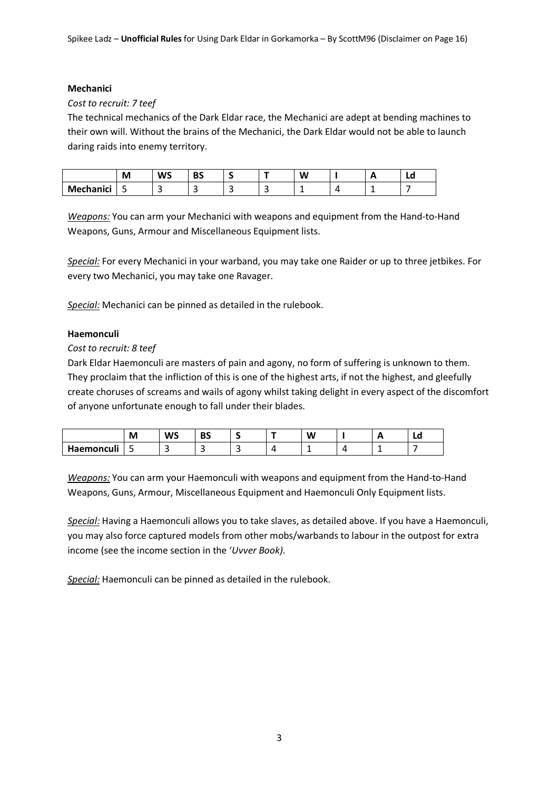#### **Mechanici**

#### *Cost to recruit: 7 teef*

The technical mechanics of the Dark Eldar race, the Mechanici are adept at bending machines to their own will. Without the brains of the Mechanici, the Dark Eldar would not be able to launch daring raids into enemy territory.

|           | M      | <b></b><br>ws | nc<br>DJ |   |          | W |  | Lu |
|-----------|--------|---------------|----------|---|----------|---|--|----|
| Mechanici | -<br>ت |               |          | - | -<br>. . |   |  |    |

*Weapons:* You can arm your Mechanici with weapons and equipment from the Hand-to-Hand Weapons, Guns, Armour and Miscellaneous Equipment lists.

*Special:* For every Mechanici in your warband, you may take one Raider or up to three jetbikes. For every two Mechanici, you may take one Ravager.

*Special:* Mechanici can be pinned as detailed in the rulebook.

#### **Haemonculi**

#### *Cost to recruit: 8 teef*

Dark Eldar Haemonculi are masters of pain and agony, no form of suffering is unknown to them. They proclaim that the infliction of this is one of the highest arts, if not the highest, and gleefully create choruses of screams and wails of agony whilst taking delight in every aspect of the discomfort of anyone unfortunate enough to fall under their blades.

|                       | IVI    | WS     | --<br>DЈ | . .    | - | W      | . . | Lu |
|-----------------------|--------|--------|----------|--------|---|--------|-----|----|
| $\cdot$<br>Haemonculi | -<br>ັ | -<br>۔ | د د      | -<br>ـ |   | -<br>— | -   |    |

*Weapons:* You can arm your Haemonculi with weapons and equipment from the Hand-to-Hand Weapons, Guns, Armour, Miscellaneous Equipment and Haemonculi Only Equipment lists.

*Special:* Having a Haemonculi allows you to take slaves, as detailed above. If you have a Haemonculi, you may also force captured models from other mobs/warbands to labour in the outpost for extra income (see the income section in the '*Uvver Book)*.

*Special:* Haemonculi can be pinned as detailed in the rulebook.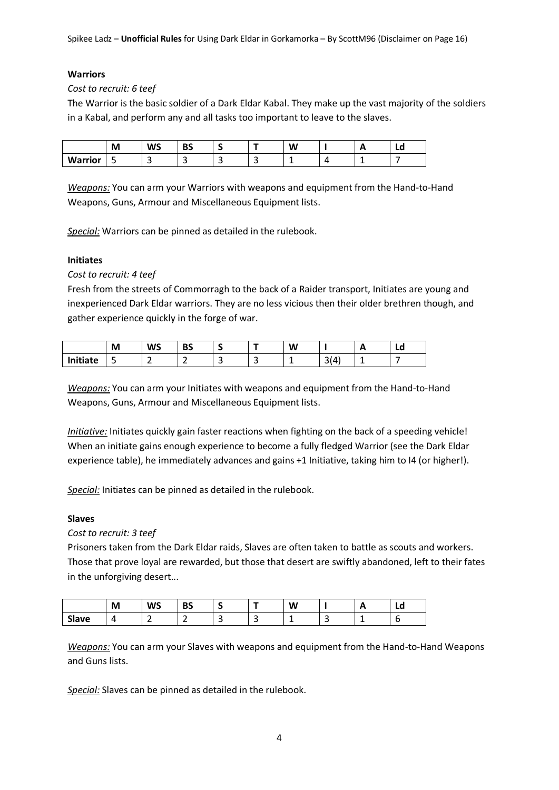# **Warriors**

*Cost to recruit: 6 teef*

The Warrior is the basic soldier of a Dark Eldar Kabal. They make up the vast majority of the soldiers in a Kabal, and perform any and all tasks too important to leave to the slaves.

|                | M      | <b>WS</b> | D C<br>כס |   |        | W |  | Lu |
|----------------|--------|-----------|-----------|---|--------|---|--|----|
| <b>Warrior</b> | -<br>ے | . .       | $\sim$    | ے | -<br>- |   |  |    |

*Weapons:* You can arm your Warriors with weapons and equipment from the Hand-to-Hand Weapons, Guns, Armour and Miscellaneous Equipment lists.

*Special:* Warriors can be pinned as detailed in the rulebook.

# **Initiates**

*Cost to recruit: 4 teef*

Fresh from the streets of Commorragh to the back of a Raider transport, Initiates are young and inexperienced Dark Eldar warriors. They are no less vicious then their older brethren though, and gather experience quickly in the forge of war.

|          | M | <b>WS</b> | DC<br>כס    | -<br>. . | -      | W  |                                        | . . | Lu |
|----------|---|-----------|-------------|----------|--------|----|----------------------------------------|-----|----|
| 'nitiate | ٮ | -<br>-    | $\sim$<br>- | -<br>۔   | -<br>ے | -- | $\sim$<br>$\mathbf{a}$<br>. 1 Z<br>ا پ |     |    |

*Weapons:* You can arm your Initiates with weapons and equipment from the Hand-to-Hand Weapons, Guns, Armour and Miscellaneous Equipment lists.

*Initiative:* Initiates quickly gain faster reactions when fighting on the back of a speeding vehicle! When an initiate gains enough experience to become a fully fledged Warrior (see the Dark Eldar experience table), he immediately advances and gains +1 Initiative, taking him to I4 (or higher!).

*Special:* Initiates can be pinned as detailed in the rulebook.

# **Slaves**

*Cost to recruit: 3 teef*

Prisoners taken from the Dark Eldar raids, Slaves are often taken to battle as scouts and workers. Those that prove loyal are rewarded, but those that desert are swiftly abandoned, left to their fates in the unforgiving desert...

|                | М | <b>WS</b> | <b>BS</b> | $\overline{\phantom{a}}$ | W |        | . .<br>- - | Lu |
|----------------|---|-----------|-----------|--------------------------|---|--------|------------|----|
| $\sim$<br>aveد | - | -         | -<br>-    | -<br>ے                   | - | -<br>ے |            | ∼  |

*Weapons:* You can arm your Slaves with weapons and equipment from the Hand-to-Hand Weapons and Guns lists.

*Special:* Slaves can be pinned as detailed in the rulebook.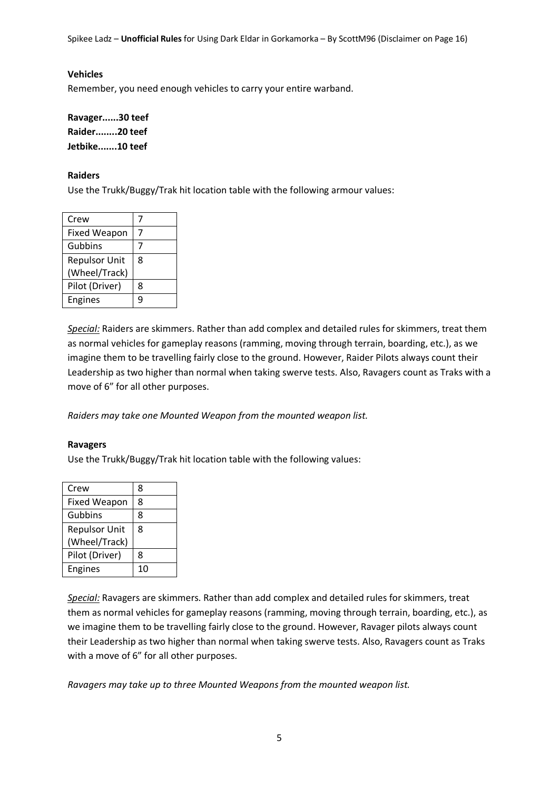#### **Vehicles**

Remember, you need enough vehicles to carry your entire warband.

**Ravager......30 teef Raider........20 teef Jetbike.......10 teef**

#### **Raiders**

Use the Trukk/Buggy/Trak hit location table with the following armour values:

| Crew                 |   |
|----------------------|---|
| <b>Fixed Weapon</b>  | 7 |
| Gubbins              | 7 |
| <b>Repulsor Unit</b> | 8 |
| (Wheel/Track)        |   |
| Pilot (Driver)       | 8 |
| Engines              | q |

*Special:* Raiders are skimmers. Rather than add complex and detailed rules for skimmers, treat them as normal vehicles for gameplay reasons (ramming, moving through terrain, boarding, etc.), as we imagine them to be travelling fairly close to the ground. However, Raider Pilots always count their Leadership as two higher than normal when taking swerve tests. Also, Ravagers count as Traks with a move of 6" for all other purposes.

*Raiders may take one Mounted Weapon from the mounted weapon list.*

#### **Ravagers**

Use the Trukk/Buggy/Trak hit location table with the following values:

| Crew                 | 8  |
|----------------------|----|
| <b>Fixed Weapon</b>  | 8  |
| Gubbins              | 8  |
| <b>Repulsor Unit</b> | 8  |
| (Wheel/Track)        |    |
| Pilot (Driver)       | 8  |
| <b>Engines</b>       | 10 |

*Special:* Ravagers are skimmers. Rather than add complex and detailed rules for skimmers, treat them as normal vehicles for gameplay reasons (ramming, moving through terrain, boarding, etc.), as we imagine them to be travelling fairly close to the ground. However, Ravager pilots always count their Leadership as two higher than normal when taking swerve tests. Also, Ravagers count as Traks with a move of 6" for all other purposes.

*Ravagers may take up to three Mounted Weapons from the mounted weapon list.*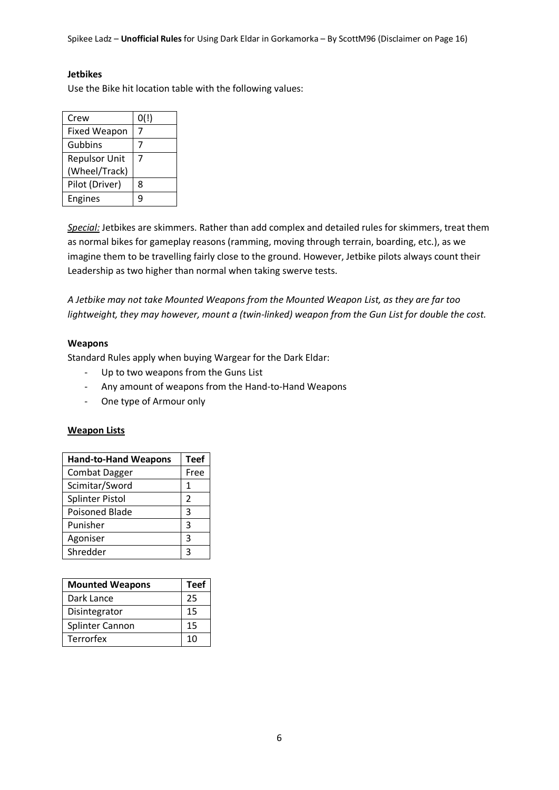#### **Jetbikes**

Use the Bike hit location table with the following values:

| Crew                 | 0(!) |
|----------------------|------|
| <b>Fixed Weapon</b>  |      |
| Gubbins              |      |
| <b>Repulsor Unit</b> | 7    |
| (Wheel/Track)        |      |
| Pilot (Driver)       | 8    |
| Engines              | q    |

*Special:* Jetbikes are skimmers. Rather than add complex and detailed rules for skimmers, treat them as normal bikes for gameplay reasons (ramming, moving through terrain, boarding, etc.), as we imagine them to be travelling fairly close to the ground. However, Jetbike pilots always count their Leadership as two higher than normal when taking swerve tests.

*A Jetbike may not take Mounted Weapons from the Mounted Weapon List, as they are far too lightweight, they may however, mount a (twin-linked) weapon from the Gun List for double the cost.*

#### **Weapons**

Standard Rules apply when buying Wargear for the Dark Eldar:

- Up to two weapons from the Guns List
- Any amount of weapons from the Hand-to-Hand Weapons
- One type of Armour only

#### **Weapon Lists**

| <b>Hand-to-Hand Weapons</b> | <b>Teef</b>   |
|-----------------------------|---------------|
| <b>Combat Dagger</b>        | Free          |
| Scimitar/Sword              | 1             |
| <b>Splinter Pistol</b>      | $\mathcal{P}$ |
| <b>Poisoned Blade</b>       | З             |
| Punisher                    | ξ             |
| Agoniser                    | ς             |
| Shredder                    |               |

| <b>Mounted Weapons</b> | <b>Teef</b> |
|------------------------|-------------|
| Dark Lance             | 25          |
| Disintegrator          | 15          |
| <b>Splinter Cannon</b> | 15          |
| <b>Terrorfex</b>       | 10          |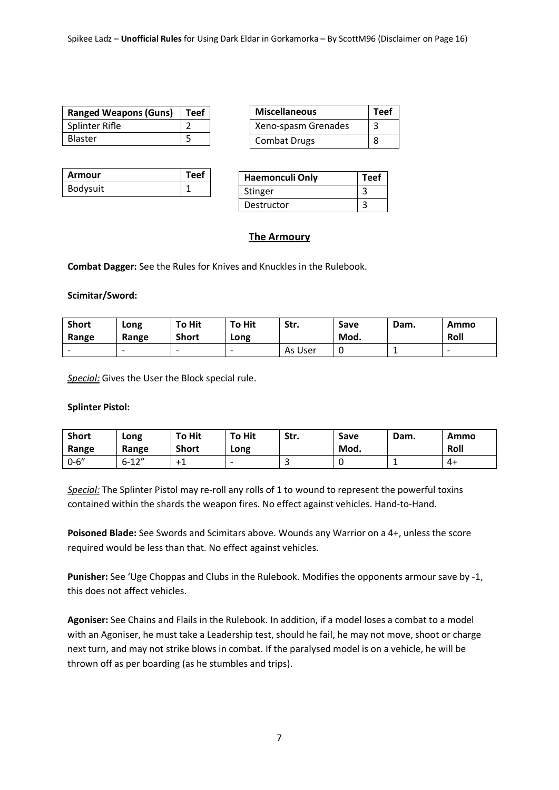| <b>Ranged Weapons (Guns)</b> | $ $ Teef |
|------------------------------|----------|
| Splinter Rifle               |          |
| <b>Blaster</b>               |          |

| <b>Miscellaneous</b> | <b>Teef</b> |
|----------------------|-------------|
| Xeno-spasm Grenades  | २           |
| <b>Combat Drugs</b>  |             |

| Armour   | <b>Teef</b> |
|----------|-------------|
| Bodysuit |             |

| Haemonculi Only | <b>Teef</b> |
|-----------------|-------------|
| Stinger         |             |
| Destructor      |             |

# **The Armoury**

**Combat Dagger:** See the Rules for Knives and Knuckles in the Rulebook.

#### **Scimitar/Sword:**

| <b>Short</b><br>Range    | Long<br>Range            | <b>To Hit</b><br><b>Short</b> | <b>To Hit</b><br>Long    | Str.    | Save<br>Mod. | Dam. | Ammo<br>Roll             |
|--------------------------|--------------------------|-------------------------------|--------------------------|---------|--------------|------|--------------------------|
| $\overline{\phantom{0}}$ | $\overline{\phantom{0}}$ | $\overline{\phantom{0}}$      | $\overline{\phantom{0}}$ | As User |              |      | $\overline{\phantom{0}}$ |

*Special:* Gives the User the Block special rule.

#### **Splinter Pistol:**

| <b>Short</b><br>Range | Long<br>Range | <b>To Hit</b><br><b>Short</b> | <b>To Hit</b><br>Long    | Str. | Save<br>Mod. | Dam. | Ammo<br>Roll |
|-----------------------|---------------|-------------------------------|--------------------------|------|--------------|------|--------------|
| $0 - 6''$             | 12''<br>6-12  | . н. <u>п. н.</u>             | $\overline{\phantom{0}}$ | ٮ    |              |      | 4+           |

*Special:* The Splinter Pistol may re-roll any rolls of 1 to wound to represent the powerful toxins contained within the shards the weapon fires. No effect against vehicles. Hand-to-Hand.

**Poisoned Blade:** See Swords and Scimitars above. Wounds any Warrior on a 4+, unless the score required would be less than that. No effect against vehicles.

**Punisher:** See 'Uge Choppas and Clubs in the Rulebook. Modifies the opponents armour save by -1, this does not affect vehicles.

**Agoniser:** See Chains and Flails in the Rulebook. In addition, if a model loses a combat to a model with an Agoniser, he must take a Leadership test, should he fail, he may not move, shoot or charge next turn, and may not strike blows in combat. If the paralysed model is on a vehicle, he will be thrown off as per boarding (as he stumbles and trips).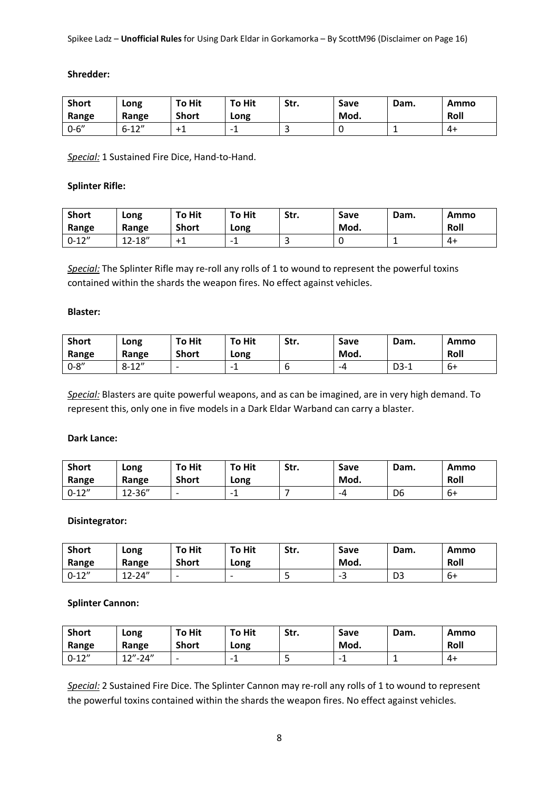#### **Shredder:**

| <b>Short</b> | Long                         | <b>To Hit</b> | <b>To Hit</b>            | Str. | Save | Dam. | Ammo |
|--------------|------------------------------|---------------|--------------------------|------|------|------|------|
| Range        | Range                        | <b>Short</b>  | Long                     |      | Mod. |      | Roll |
| $0 - 6''$    | C <sub>1</sub> 2''<br>$b-12$ | ᅮ             | $\overline{\phantom{0}}$ | ے    |      |      | 4+   |

*Special:* 1 Sustained Fire Dice, Hand-to-Hand.

#### **Splinter Rifle:**

| <b>Short</b><br>Range | Long<br>Range | <b>To Hit</b><br><b>Short</b> | <b>To Hit</b><br>Long | Str. | Save<br>Mod. | Dam. | Ammo<br>Roll |
|-----------------------|---------------|-------------------------------|-----------------------|------|--------------|------|--------------|
| $0 - 12"$             | $12 - 18"$    | $+1$                          |                       | ٮ    |              |      | 41           |

*Special:* The Splinter Rifle may re-roll any rolls of 1 to wound to represent the powerful toxins contained within the shards the weapon fires. No effect against vehicles.

#### **Blaster:**

| <b>Short</b><br>Range | Long<br>Range | <b>To Hit</b><br><b>Short</b> | <b>To Hit</b><br>Long | Str. | Save<br>Mod. | Dam.   | Ammo<br>Roll |
|-----------------------|---------------|-------------------------------|-----------------------|------|--------------|--------|--------------|
| $0 - 8''$             | $8 - 12"$     | $\overline{\phantom{0}}$      |                       | ь    | -4           | $D3-1$ | 6+           |

*Special:* Blasters are quite powerful weapons, and as can be imagined, are in very high demand. To represent this, only one in five models in a Dark Eldar Warband can carry a blaster.

#### **Dark Lance:**

| <b>Short</b><br>Range | Long<br>Range | <b>To Hit</b><br><b>Short</b> | <b>To Hit</b><br>Long | Str. | Save<br>Mod. | Dam.           | Ammo<br>Roll |
|-----------------------|---------------|-------------------------------|-----------------------|------|--------------|----------------|--------------|
| $0 - 12"$             | 12-36"        | $\overline{\phantom{0}}$      | -<br>-                |      | -4           | D <sub>6</sub> | 6+           |

#### **Disintegrator:**

| <b>Short</b><br>Range | Long<br>Range | <b>To Hit</b><br><b>Short</b> | <b>To Hit</b><br>Long    | Str. | Save<br>Mod. | Dam.           | Ammo<br>Roll |
|-----------------------|---------------|-------------------------------|--------------------------|------|--------------|----------------|--------------|
| $0 - 12"$             | $12 - 24"$    | $\overline{\phantom{0}}$      | $\overline{\phantom{0}}$ | ت    | --<br>ے      | D <sub>3</sub> | 6+           |

#### **Splinter Cannon:**

| <b>Short</b><br>Range | Long<br>Range | <b>To Hit</b><br><b>Short</b> | <b>To Hit</b><br>Long | Str. | Save<br>Mod.                         | Dam. | Ammo<br>Roll |
|-----------------------|---------------|-------------------------------|-----------------------|------|--------------------------------------|------|--------------|
| $0 - 12"$             | $12" - 24"$   | $\overline{\phantom{0}}$      |                       | ٮ    | $\overline{\phantom{0}}$<br><b>.</b> |      | 4+           |

*Special:* 2 Sustained Fire Dice. The Splinter Cannon may re-roll any rolls of 1 to wound to represent the powerful toxins contained within the shards the weapon fires. No effect against vehicles.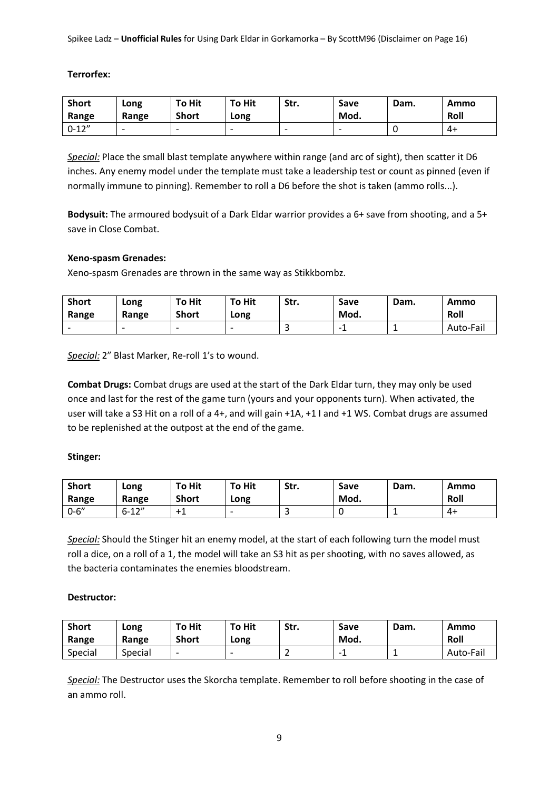#### **Terrorfex:**

| <b>Short</b> | Long                     | <b>To Hit</b>            | <b>To Hit</b>            | Str.                     | Save | Dam. | Ammo |
|--------------|--------------------------|--------------------------|--------------------------|--------------------------|------|------|------|
| Range        | Range                    | <b>Short</b>             | Long                     |                          | Mod. |      | Roll |
| $0 - 12"$    | $\overline{\phantom{0}}$ | $\overline{\phantom{0}}$ | $\overline{\phantom{0}}$ | $\overline{\phantom{0}}$ |      |      | 4+   |

*Special:* Place the small blast template anywhere within range (and arc of sight), then scatter it D6 inches. Any enemy model under the template must take a leadership test or count as pinned (even if normally immune to pinning). Remember to roll a D6 before the shot is taken (ammo rolls...).

**Bodysuit:** The armoured bodysuit of a Dark Eldar warrior provides a 6+ save from shooting, and a 5+ save in Close Combat.

#### **Xeno-spasm Grenades:**

Xeno-spasm Grenades are thrown in the same way as Stikkbombz.

| <b>Short</b><br>Range    | Long<br>Range            | <b>To Hit</b><br><b>Short</b> | <b>To Hit</b><br>Long    | Str. | Save<br>Mod. | Dam. | Ammo<br>Roll |
|--------------------------|--------------------------|-------------------------------|--------------------------|------|--------------|------|--------------|
| $\overline{\phantom{0}}$ | $\overline{\phantom{0}}$ | $\overline{\phantom{0}}$      | $\overline{\phantom{0}}$ | ٮ    |              |      | Auto-Fail    |

Special: 2" Blast Marker, Re-roll 1's to wound.

**Combat Drugs:** Combat drugs are used at the start of the Dark Eldar turn, they may only be used once and last for the rest of the game turn (yours and your opponents turn). When activated, the user will take a S3 Hit on a roll of a 4+, and will gain +1A, +1 I and +1 WS. Combat drugs are assumed to be replenished at the outpost at the end of the game.

#### **Stinger:**

| <b>Short</b><br>Range | Long<br>Range | <b>To Hit</b><br><b>Short</b> | <b>To Hit</b><br>Long    | Str. | Save<br>Mod. | Dam. | Ammo<br>Roll |
|-----------------------|---------------|-------------------------------|--------------------------|------|--------------|------|--------------|
| $0 - 6''$             | $6 - 12"$     | $+1$                          | $\overline{\phantom{0}}$ | ٮ    |              |      | 4+           |

*Special:* Should the Stinger hit an enemy model, at the start of each following turn the model must roll a dice, on a roll of a 1, the model will take an S3 hit as per shooting, with no saves allowed, as the bacteria contaminates the enemies bloodstream.

#### **Destructor:**

| <b>Short</b><br>Range | Long<br>Range | <b>To Hit</b><br><b>Short</b> | <b>To Hit</b><br>Long    | Str. | Save<br>Mod. | Dam. | Ammo<br>Roll |
|-----------------------|---------------|-------------------------------|--------------------------|------|--------------|------|--------------|
| Special               | Special       | $\overline{\phantom{0}}$      | $\overline{\phantom{0}}$ | -    | -            |      | Auto-Fail    |

*Special:* The Destructor uses the Skorcha template. Remember to roll before shooting in the case of an ammo roll.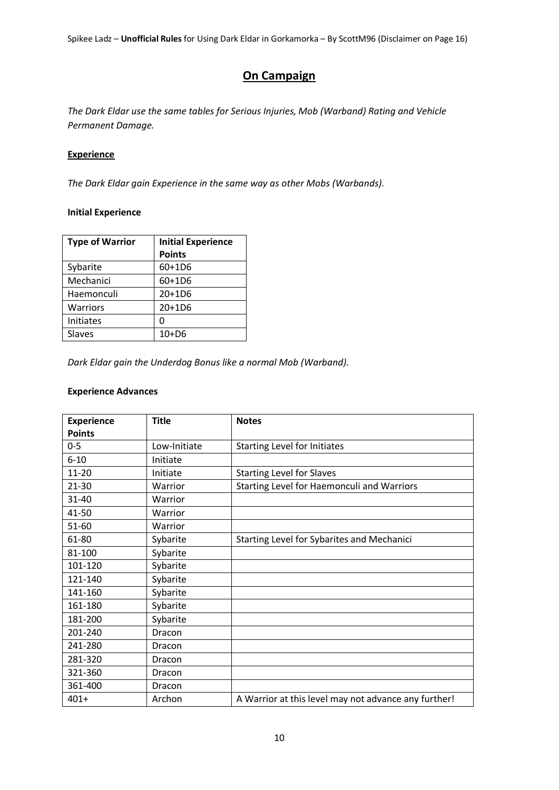# **On Campaign**

*The Dark Eldar use the same tables for Serious Injuries, Mob (Warband) Rating and Vehicle Permanent Damage.* 

# **Experience**

*The Dark Eldar gain Experience in the same way as other Mobs (Warbands).*

# **Initial Experience**

| <b>Type of Warrior</b> | <b>Initial Experience</b> |
|------------------------|---------------------------|
|                        | <b>Points</b>             |
| Sybarite               | 60+1D6                    |
| Mechanici              | 60+1D6                    |
| Haemonculi             | $20+1D6$                  |
| <b>Warriors</b>        | 20+1D6                    |
| <b>Initiates</b>       | 0                         |
| Slaves                 | $10+D6$                   |

*Dark Eldar gain the Underdog Bonus like a normal Mob (Warband).*

#### **Experience Advances**

| <b>Experience</b> | <b>Title</b> | <b>Notes</b>                                         |
|-------------------|--------------|------------------------------------------------------|
| <b>Points</b>     |              |                                                      |
| $0 - 5$           | Low-Initiate | <b>Starting Level for Initiates</b>                  |
| $6 - 10$          | Initiate     |                                                      |
| 11-20             | Initiate     | <b>Starting Level for Slaves</b>                     |
| $21 - 30$         | Warrior      | Starting Level for Haemonculi and Warriors           |
| 31-40             | Warrior      |                                                      |
| 41-50             | Warrior      |                                                      |
| 51-60             | Warrior      |                                                      |
| 61-80             | Sybarite     | Starting Level for Sybarites and Mechanici           |
| 81-100            | Sybarite     |                                                      |
| 101-120           | Sybarite     |                                                      |
| 121-140           | Sybarite     |                                                      |
| 141-160           | Sybarite     |                                                      |
| 161-180           | Sybarite     |                                                      |
| 181-200           | Sybarite     |                                                      |
| 201-240           | Dracon       |                                                      |
| 241-280           | Dracon       |                                                      |
| 281-320           | Dracon       |                                                      |
| 321-360           | Dracon       |                                                      |
| 361-400           | Dracon       |                                                      |
| $401+$            | Archon       | A Warrior at this level may not advance any further! |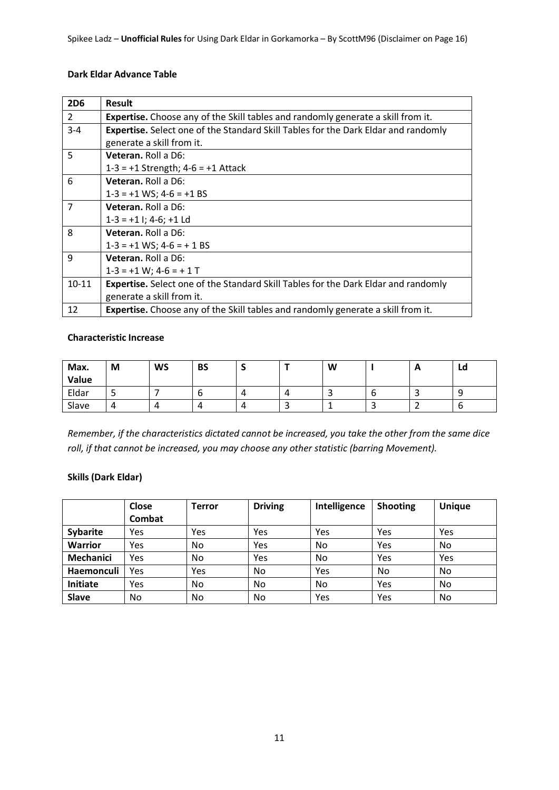#### **Dark Eldar Advance Table**

| <b>2D6</b>     | <b>Result</b>                                                                             |
|----------------|-------------------------------------------------------------------------------------------|
| $\overline{2}$ | <b>Expertise.</b> Choose any of the Skill tables and randomly generate a skill from it.   |
| $3 - 4$        | Expertise. Select one of the Standard Skill Tables for the Dark Eldar and randomly        |
|                | generate a skill from it.                                                                 |
| 5              | Veteran, Roll a D6:                                                                       |
|                | $1-3 = +1$ Strength; $4-6 = +1$ Attack                                                    |
| 6              | <b>Veteran.</b> Roll a D6:                                                                |
|                | $1-3 = +1$ WS; $4-6 = +1$ BS                                                              |
| $\overline{7}$ | <b>Veteran.</b> Roll a D6:                                                                |
|                | $1-3 = +1$ I; 4-6; +1 Ld                                                                  |
| 8              | Veteran, Roll a D6:                                                                       |
|                | $1-3 = +1$ WS; $4-6 = +1$ BS                                                              |
| 9              | Veteran. Roll a D6:                                                                       |
|                | $1-3 = +1$ W; $4-6 = +1$ T                                                                |
| $10 - 11$      | <b>Expertise.</b> Select one of the Standard Skill Tables for the Dark Eldar and randomly |
|                | generate a skill from it.                                                                 |
| 12             | <b>Expertise.</b> Choose any of the Skill tables and randomly generate a skill from it.   |

#### **Characteristic Increase**

| Max.<br>Value | M | <b>WS</b> | <b>BS</b> | - |   | W |   | $\mathbf{A}$ | Ld     |
|---------------|---|-----------|-----------|---|---|---|---|--------------|--------|
| Eldar         | ے |           | o         |   | 4 |   | O |              | q<br>ت |
| Slave         | 4 | 4         |           |   | ٮ |   | ັ |              | b      |

*Remember, if the characteristics dictated cannot be increased, you take the other from the same dice roll, if that cannot be increased, you may choose any other statistic (barring Movement).*

# **Skills (Dark Eldar)**

|                  | Close<br>Combat | Terror | <b>Driving</b> | Intelligence | <b>Shooting</b> | <b>Unique</b> |
|------------------|-----------------|--------|----------------|--------------|-----------------|---------------|
| <b>Sybarite</b>  | Yes             | Yes    | Yes            | Yes          | Yes             | Yes           |
| <b>Warrior</b>   | Yes             | No     | Yes            | No           | Yes             | No            |
| <b>Mechanici</b> | Yes             | No     | Yes            | No           | Yes             | Yes           |
| Haemonculi       | Yes             | Yes    | No.            | Yes          | No              | No            |
| Initiate         | Yes             | No     | No.            | No           | Yes             | No            |
| <b>Slave</b>     | No              | No     | No             | Yes          | Yes             | No            |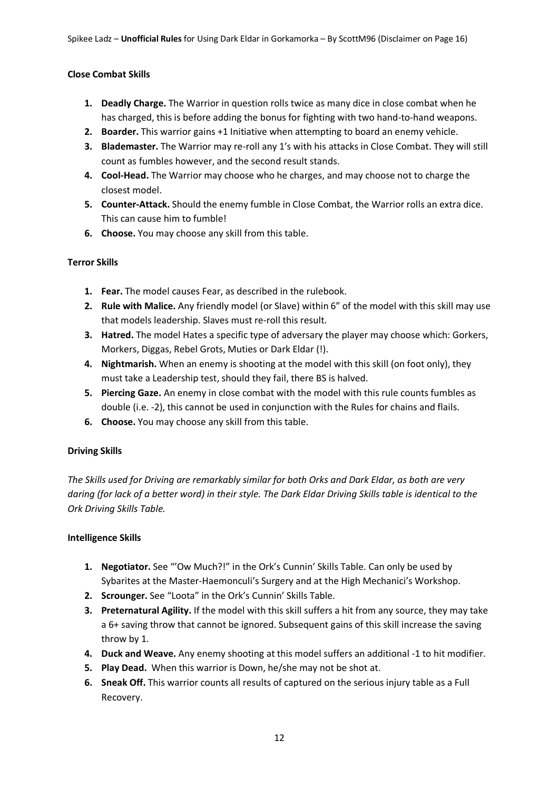#### **Close Combat Skills**

- **1. Deadly Charge.** The Warrior in question rolls twice as many dice in close combat when he has charged, this is before adding the bonus for fighting with two hand-to-hand weapons.
- **2. Boarder.** This warrior gains +1 Initiative when attempting to board an enemy vehicle.
- **3. Blademaster.** The Warrior may re-roll any 1's with his attacks in Close Combat. They will still count as fumbles however, and the second result stands.
- **4. Cool-Head.** The Warrior may choose who he charges, and may choose not to charge the closest model.
- **5. Counter-Attack.** Should the enemy fumble in Close Combat, the Warrior rolls an extra dice. This can cause him to fumble!
- **6. Choose.** You may choose any skill from this table.

#### **Terror Skills**

- **1. Fear.** The model causes Fear, as described in the rulebook.
- **2. Rule with Malice.** Any friendly model (or Slave) within 6" of the model with this skill may use that models leadership. Slaves must re-roll this result.
- **3. Hatred.** The model Hates a specific type of adversary the player may choose which: Gorkers, Morkers, Diggas, Rebel Grots, Muties or Dark Eldar (!).
- **4. Nightmarish.** When an enemy is shooting at the model with this skill (on foot only), they must take a Leadership test, should they fail, there BS is halved.
- **5. Piercing Gaze.** An enemy in close combat with the model with this rule counts fumbles as double (i.e. -2), this cannot be used in conjunction with the Rules for chains and flails.
- **6. Choose.** You may choose any skill from this table.

#### **Driving Skills**

*The Skills used for Driving are remarkably similar for both Orks and Dark Eldar, as both are very daring (for lack of a better word) in their style. The Dark Eldar Driving Skills table is identical to the Ork Driving Skills Table.*

#### **Intelligence Skills**

- **1. Negotiator.** See "'Ow Much?!" in the Ork's Cunnin' Skills Table. Can only be used by Sybarites at the Master-Haemonculi's Surgery and at the High Mechanici's Workshop.
- **2. Scrounger.** See "Loota" in the Ork's Cunnin' Skills Table.
- **3. Preternatural Agility.** If the model with this skill suffers a hit from any source, they may take a 6+ saving throw that cannot be ignored. Subsequent gains of this skill increase the saving throw by 1.
- **4. Duck and Weave.** Any enemy shooting at this model suffers an additional -1 to hit modifier.
- **5. Play Dead.** When this warrior is Down, he/she may not be shot at.
- **6. Sneak Off.** This warrior counts all results of captured on the serious injury table as a Full Recovery.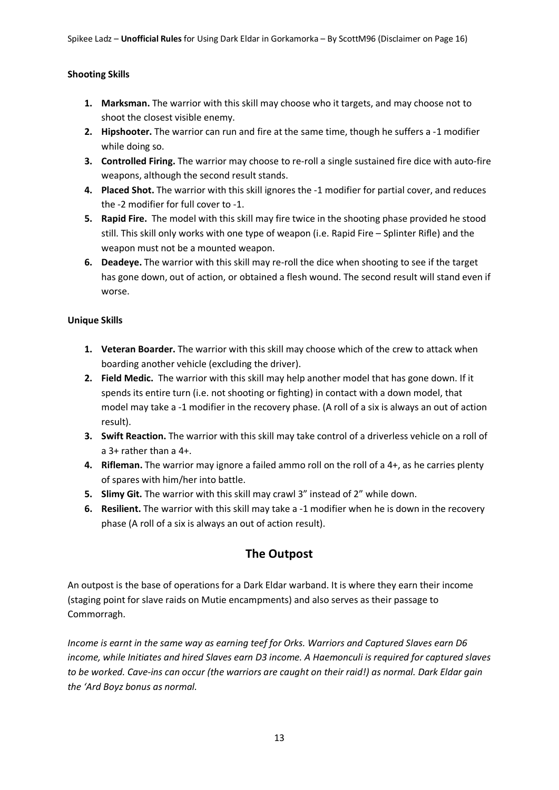#### **Shooting Skills**

- **1. Marksman.** The warrior with this skill may choose who it targets, and may choose not to shoot the closest visible enemy.
- **2. Hipshooter.** The warrior can run and fire at the same time, though he suffers a -1 modifier while doing so.
- **3. Controlled Firing.** The warrior may choose to re-roll a single sustained fire dice with auto-fire weapons, although the second result stands.
- **4. Placed Shot.** The warrior with this skill ignores the -1 modifier for partial cover, and reduces the -2 modifier for full cover to -1.
- **5. Rapid Fire.** The model with this skill may fire twice in the shooting phase provided he stood still. This skill only works with one type of weapon (i.e. Rapid Fire – Splinter Rifle) and the weapon must not be a mounted weapon.
- **6. Deadeye.** The warrior with this skill may re-roll the dice when shooting to see if the target has gone down, out of action, or obtained a flesh wound. The second result will stand even if worse.

#### **Unique Skills**

- **1. Veteran Boarder.** The warrior with this skill may choose which of the crew to attack when boarding another vehicle (excluding the driver).
- **2. Field Medic.** The warrior with this skill may help another model that has gone down. If it spends its entire turn (i.e. not shooting or fighting) in contact with a down model, that model may take a -1 modifier in the recovery phase. (A roll of a six is always an out of action result).
- **3. Swift Reaction.** The warrior with this skill may take control of a driverless vehicle on a roll of a 3+ rather than a 4+.
- **4. Rifleman.** The warrior may ignore a failed ammo roll on the roll of a 4+, as he carries plenty of spares with him/her into battle.
- **5. Slimy Git.** The warrior with this skill may crawl 3" instead of 2" while down.
- **6. Resilient.** The warrior with this skill may take a -1 modifier when he is down in the recovery phase (A roll of a six is always an out of action result).

# **The Outpost**

An outpost is the base of operations for a Dark Eldar warband. It is where they earn their income (staging point for slave raids on Mutie encampments) and also serves as their passage to Commorragh.

*Income is earnt in the same way as earning teef for Orks. Warriors and Captured Slaves earn D6 income, while Initiates and hired Slaves earn D3 income. A Haemonculi is required for captured slaves to be worked. Cave-ins can occur (the warriors are caught on their raid!) as normal. Dark Eldar gain the 'Ard Boyz bonus as normal.*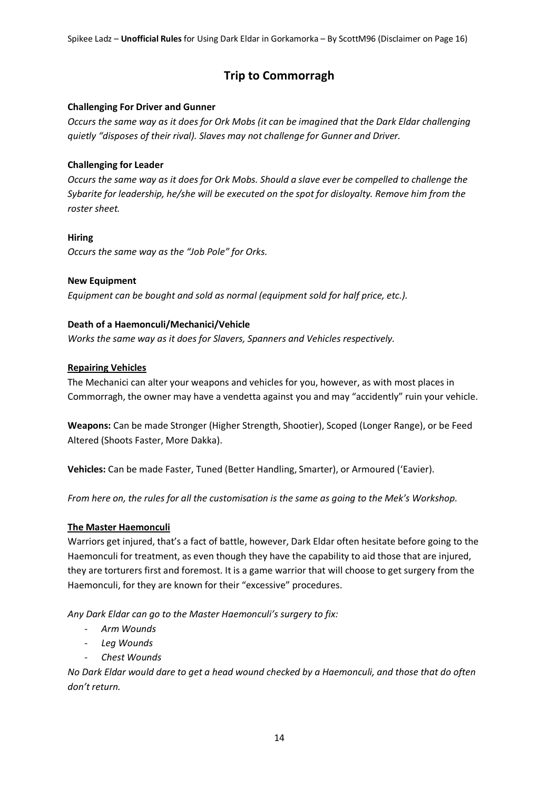# **Trip to Commorragh**

#### **Challenging For Driver and Gunner**

*Occurs the same way as it does for Ork Mobs (it can be imagined that the Dark Eldar challenging quietly "disposes of their rival). Slaves may not challenge for Gunner and Driver.*

#### **Challenging for Leader**

*Occurs the same way as it does for Ork Mobs. Should a slave ever be compelled to challenge the Sybarite for leadership, he/she will be executed on the spot for disloyalty. Remove him from the roster sheet.*

#### **Hiring**

*Occurs the same way as the "Job Pole" for Orks.*

# **New Equipment**

*Equipment can be bought and sold as normal (equipment sold for half price, etc.).* 

# **Death of a Haemonculi/Mechanici/Vehicle**

*Works the same way as it does for Slavers, Spanners and Vehicles respectively.*

# **Repairing Vehicles**

The Mechanici can alter your weapons and vehicles for you, however, as with most places in Commorragh, the owner may have a vendetta against you and may "accidently" ruin your vehicle.

**Weapons:** Can be made Stronger (Higher Strength, Shootier), Scoped (Longer Range), or be Feed Altered (Shoots Faster, More Dakka).

**Vehicles:** Can be made Faster, Tuned (Better Handling, Smarter), or Armoured ('Eavier).

*From here on, the rules for all the customisation is the same as going to the Mek's Workshop.*

# **The Master Haemonculi**

Warriors get injured, that's a fact of battle, however, Dark Eldar often hesitate before going to the Haemonculi for treatment, as even though they have the capability to aid those that are injured, they are torturers first and foremost. It is a game warrior that will choose to get surgery from the Haemonculi, for they are known for their "excessive" procedures.

*Any Dark Eldar can go to the Master Haemonculi's surgery to fix:*

- *Arm Wounds*
- *Leg Wounds*
- *Chest Wounds*

*No Dark Eldar would dare to get a head wound checked by a Haemonculi, and those that do often don't return.*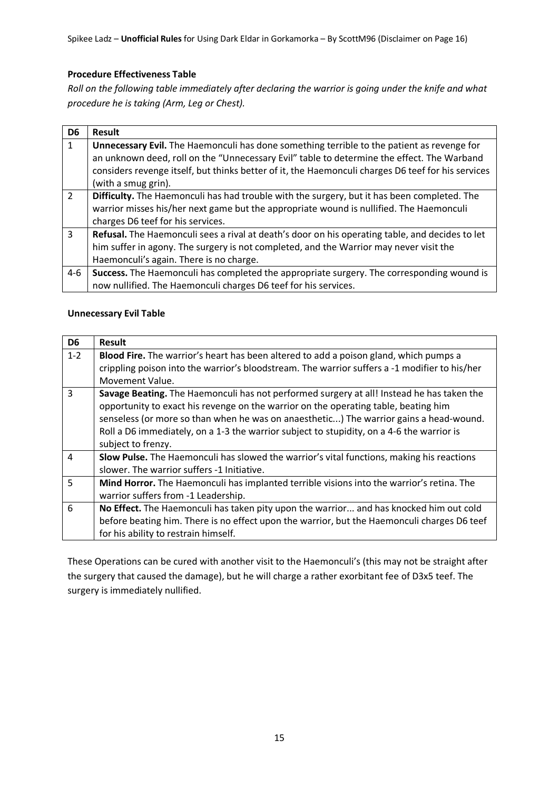# **Procedure Effectiveness Table**

*Roll on the following table immediately after declaring the warrior is going under the knife and what procedure he is taking (Arm, Leg or Chest).*

| D <sub>6</sub> | Result                                                                                             |
|----------------|----------------------------------------------------------------------------------------------------|
| 1              | <b>Unnecessary Evil.</b> The Haemonculi has done something terrible to the patient as revenge for  |
|                | an unknown deed, roll on the "Unnecessary Evil" table to determine the effect. The Warband         |
|                | considers revenge itself, but thinks better of it, the Haemonculi charges D6 teef for his services |
|                | (with a smug grin).                                                                                |
| $\overline{2}$ | Difficulty. The Haemonculi has had trouble with the surgery, but it has been completed. The        |
|                | warrior misses his/her next game but the appropriate wound is nullified. The Haemonculi            |
|                | charges D6 teef for his services.                                                                  |
| $\overline{3}$ | Refusal. The Haemonculi sees a rival at death's door on his operating table, and decides to let    |
|                | him suffer in agony. The surgery is not completed, and the Warrior may never visit the             |
|                | Haemonculi's again. There is no charge.                                                            |
| $4-6$          | Success. The Haemonculi has completed the appropriate surgery. The corresponding wound is          |
|                | now nullified. The Haemonculi charges D6 teef for his services.                                    |

# **Unnecessary Evil Table**

| D <sub>6</sub> | <b>Result</b>                                                                                 |
|----------------|-----------------------------------------------------------------------------------------------|
| $1 - 2$        | Blood Fire. The warrior's heart has been altered to add a poison gland, which pumps a         |
|                | crippling poison into the warrior's bloodstream. The warrior suffers a -1 modifier to his/her |
|                | Movement Value.                                                                               |
| $\mathbf{3}$   | Savage Beating. The Haemonculi has not performed surgery at all! Instead he has taken the     |
|                | opportunity to exact his revenge on the warrior on the operating table, beating him           |
|                | senseless (or more so than when he was on anaesthetic) The warrior gains a head-wound.        |
|                | Roll a D6 immediately, on a 1-3 the warrior subject to stupidity, on a 4-6 the warrior is     |
|                | subject to frenzy.                                                                            |
| $\overline{4}$ | Slow Pulse. The Haemonculi has slowed the warrior's vital functions, making his reactions     |
|                | slower. The warrior suffers -1 Initiative.                                                    |
| 5              | Mind Horror. The Haemonculi has implanted terrible visions into the warrior's retina. The     |
|                | warrior suffers from -1 Leadership.                                                           |
| 6              | No Effect. The Haemonculi has taken pity upon the warrior and has knocked him out cold        |
|                | before beating him. There is no effect upon the warrior, but the Haemonculi charges D6 teef   |
|                | for his ability to restrain himself.                                                          |

These Operations can be cured with another visit to the Haemonculi's (this may not be straight after the surgery that caused the damage), but he will charge a rather exorbitant fee of D3x5 teef. The surgery is immediately nullified.